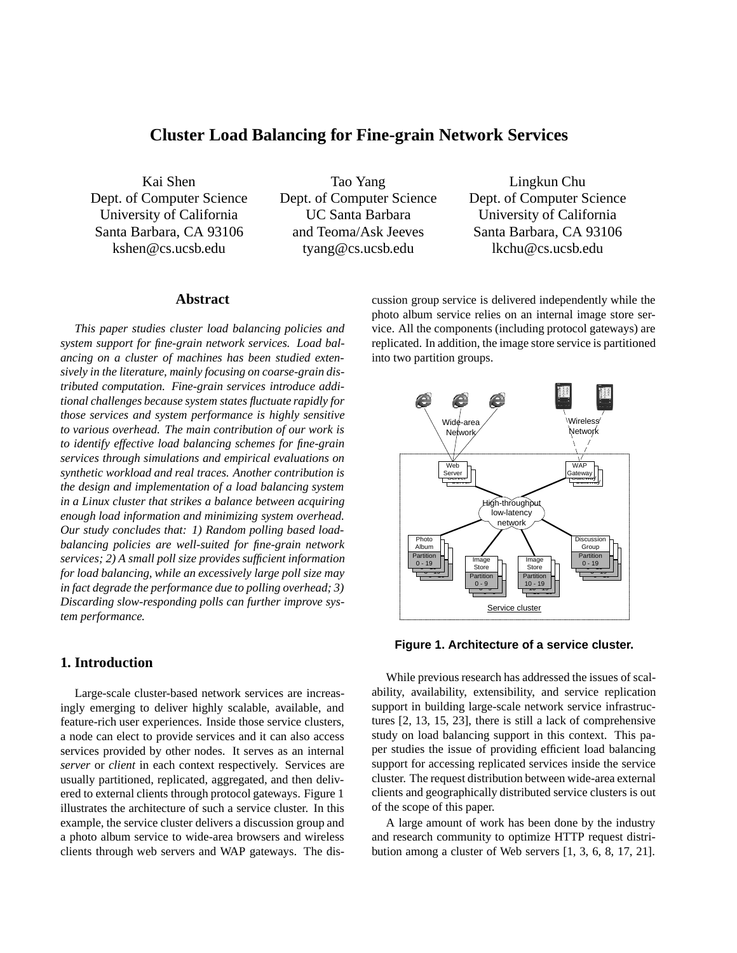# **Cluster Load Balancing for Fine-grain Network Services**

Kai Shen Dept. of Computer Science University of California Santa Barbara, CA 93106 kshen@cs.ucsb.edu

Tao Yang Dept. of Computer Science UC Santa Barbara and Teoma/Ask Jeeves tyang@cs.ucsb.edu

Lingkun Chu Dept. of Computer Science University of California Santa Barbara, CA 93106 lkchu@cs.ucsb.edu

# **Abstract**

*This paper studies cluster load balancing policies and system support for fine-grain network services. Load balancing on a cluster of machines has been studied extensively in the literature, mainly focusing on coarse-grain distributed computation. Fine-grain services introduce additional challenges because system states fluctuate rapidly for those services and system performance is highly sensitive to various overhead. The main contribution of our work is to identify effective load balancing schemes for fine-grain services through simulations and empirical evaluations on synthetic workload and real traces. Another contribution is the design and implementation of a load balancing system in a Linux cluster that strikes a balance between acquiring enough load information and minimizing system overhead. Our study concludes that: 1) Random polling based loadbalancing policies are well-suited for fine-grain network services; 2) A small poll size provides sufficient information for load balancing, while an excessively large poll size may in fact degrade the performance due to polling overhead; 3) Discarding slow-responding polls can further improve system performance.*

# **1. Introduction**

Large-scale cluster-based network services are increasingly emerging to deliver highly scalable, available, and feature-rich user experiences. Inside those service clusters, a node can elect to provide services and it can also access services provided by other nodes. It serves as an internal *server* or *client* in each context respectively. Services are usually partitioned, replicated, aggregated, and then delivered to external clients through protocol gateways. Figure 1 illustrates the architecture of such a service cluster. In this example, the service cluster delivers a discussion group and a photo album service to wide-area browsers and wireless clients through web servers and WAP gateways. The discussion group service is delivered independently while the photo album service relies on an internal image store service. All the components (including protocol gateways) are replicated. In addition, the image store service is partitioned into two partition groups.



**Figure 1. Architecture of a service cluster.**

While previous research has addressed the issues of scalability, availability, extensibility, and service replication support in building large-scale network service infrastructures [2, 13, 15, 23], there is still a lack of comprehensive study on load balancing support in this context. This paper studies the issue of providing efficient load balancing support for accessing replicated services inside the service cluster. The request distribution between wide-area external clients and geographically distributed service clusters is out of the scope of this paper.

A large amount of work has been done by the industry and research community to optimize HTTP request distribution among a cluster of Web servers [1, 3, 6, 8, 17, 21].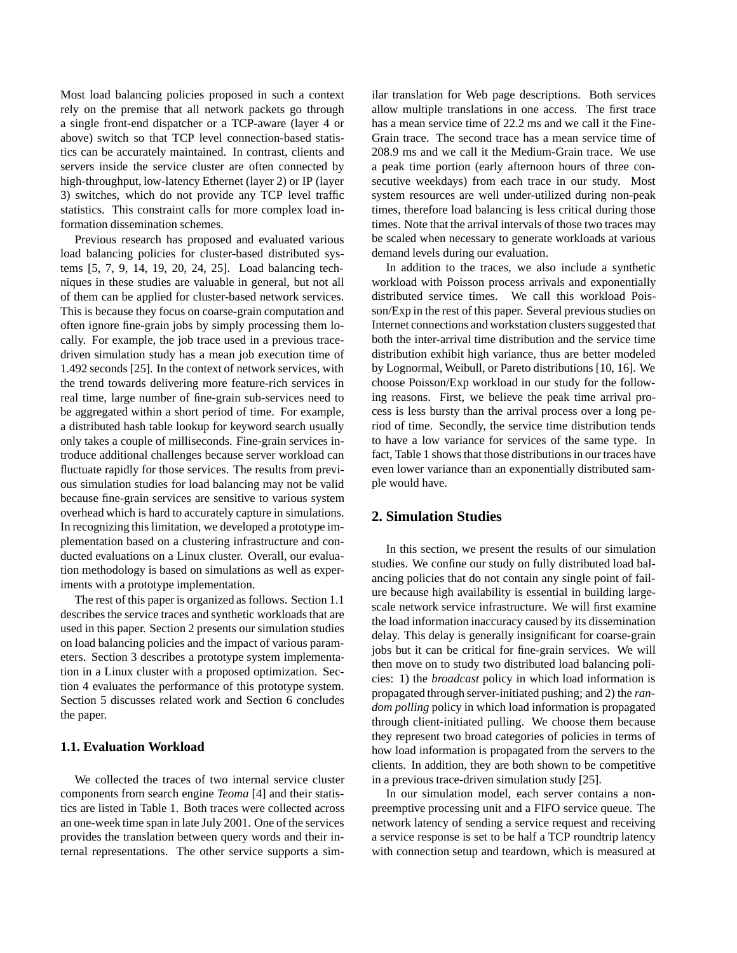Most load balancing policies proposed in such a context rely on the premise that all network packets go through a single front-end dispatcher or a TCP-aware (layer 4 or above) switch so that TCP level connection-based statistics can be accurately maintained. In contrast, clients and servers inside the service cluster are often connected by high-throughput, low-latency Ethernet (layer 2) or IP (layer 3) switches, which do not provide any TCP level traffic statistics. This constraint calls for more complex load information dissemination schemes.

Previous research has proposed and evaluated various load balancing policies for cluster-based distributed systems [5, 7, 9, 14, 19, 20, 24, 25]. Load balancing techniques in these studies are valuable in general, but not all of them can be applied for cluster-based network services. This is because they focus on coarse-grain computation and often ignore fine-grain jobs by simply processing them locally. For example, the job trace used in a previous tracedriven simulation study has a mean job execution time of 1.492 seconds [25]. In the context of network services, with the trend towards delivering more feature-rich services in real time, large number of fine-grain sub-services need to be aggregated within a short period of time. For example, a distributed hash table lookup for keyword search usually only takes a couple of milliseconds. Fine-grain services introduce additional challenges because server workload can fluctuate rapidly for those services. The results from previous simulation studies for load balancing may not be valid because fine-grain services are sensitive to various system overhead which is hard to accurately capture in simulations. In recognizing this limitation, we developed a prototype implementation based on a clustering infrastructure and conducted evaluations on a Linux cluster. Overall, our evaluation methodology is based on simulations as well as experiments with a prototype implementation.

The rest of this paper is organized as follows. Section 1.1 describes the service traces and synthetic workloads that are used in this paper. Section 2 presents our simulation studies on load balancing policies and the impact of various parameters. Section 3 describes a prototype system implementation in a Linux cluster with a proposed optimization. Section 4 evaluates the performance of this prototype system. Section 5 discusses related work and Section 6 concludes the paper.

# **1.1. Evaluation Workload**

We collected the traces of two internal service cluster components from search engine *Teoma* [4] and their statistics are listed in Table 1. Both traces were collected across an one-week time span in late July 2001. One of the services provides the translation between query words and their internal representations. The other service supports a similar translation for Web page descriptions. Both services allow multiple translations in one access. The first trace has a mean service time of 22.2 ms and we call it the Fine-Grain trace. The second trace has a mean service time of 208.9 ms and we call it the Medium-Grain trace. We use a peak time portion (early afternoon hours of three consecutive weekdays) from each trace in our study. Most system resources are well under-utilized during non-peak times, therefore load balancing is less critical during those times. Note that the arrival intervals of those two traces may be scaled when necessary to generate workloads at various demand levels during our evaluation.

In addition to the traces, we also include a synthetic workload with Poisson process arrivals and exponentially distributed service times. We call this workload Poisson/Exp in the rest of this paper. Several previous studies on Internet connections and workstation clusters suggested that both the inter-arrival time distribution and the service time distribution exhibit high variance, thus are better modeled by Lognormal, Weibull, or Pareto distributions [10, 16]. We choose Poisson/Exp workload in our study for the following reasons. First, we believe the peak time arrival process is less bursty than the arrival process over a long period of time. Secondly, the service time distribution tends to have a low variance for services of the same type. In fact, Table 1 shows that those distributions in our traces have even lower variance than an exponentially distributed sample would have.

# **2. Simulation Studies**

In this section, we present the results of our simulation studies. We confine our study on fully distributed load balancing policies that do not contain any single point of failure because high availability is essential in building largescale network service infrastructure. We will first examine the load information inaccuracy caused by its dissemination delay. This delay is generally insignificant for coarse-grain jobs but it can be critical for fine-grain services. We will then move on to study two distributed load balancing policies: 1) the *broadcast* policy in which load information is propagated through server-initiated pushing; and 2) the *random polling* policy in which load information is propagated through client-initiated pulling. We choose them because they represent two broad categories of policies in terms of how load information is propagated from the servers to the clients. In addition, they are both shown to be competitive in a previous trace-driven simulation study [25].

In our simulation model, each server contains a nonpreemptive processing unit and a FIFO service queue. The network latency of sending a service request and receiving a service response is set to be half a TCP roundtrip latency with connection setup and teardown, which is measured at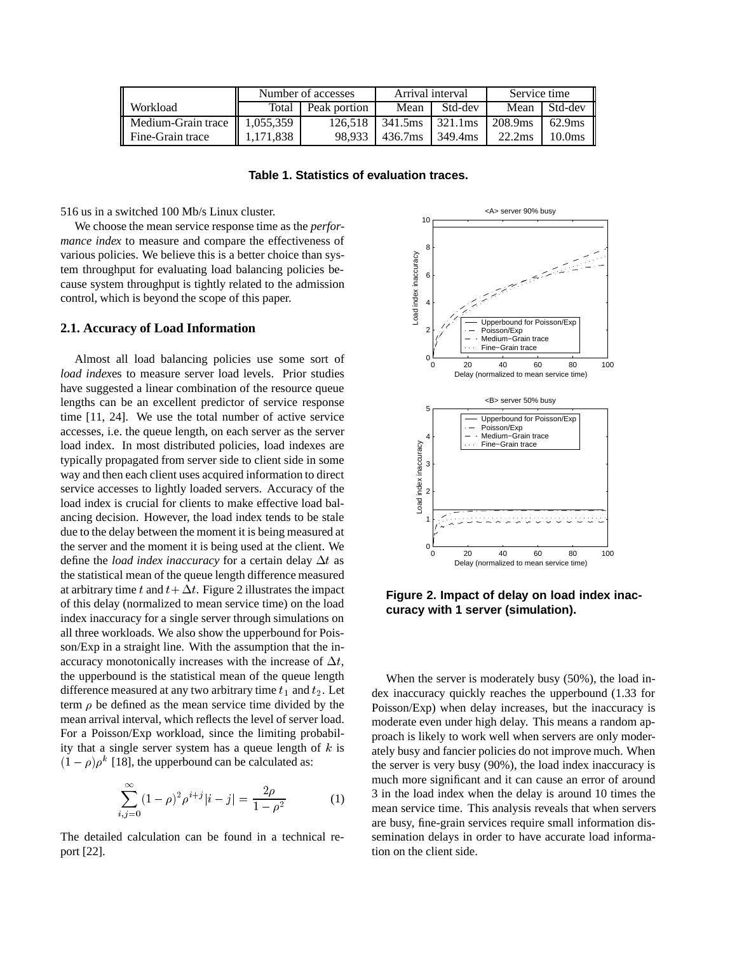|                                                      | Number of accesses |              | Arrival interval               |         | Service time |                    |
|------------------------------------------------------|--------------------|--------------|--------------------------------|---------|--------------|--------------------|
| Workload                                             | Total              | Peak portion | Mean                           | Std-dev |              | Mean Std-dev       |
| $\parallel$ Medium-Grain trace $\parallel$ 1,055,359 |                    | 126.518      | $341.5$ ms $\frac{1321.1}{20}$ |         | 208.9ms      | $62.9$ ms          |
| ll Fine-Grain trace                                  | 1,171,838          | 98.933       | 436.7ms                        | 349.4ms | 22.2ms       | 10.0 <sub>ms</sub> |

**Table 1. Statistics of evaluation traces.**

516 us in a switched 100 Mb/s Linux cluster.

We choose the mean service response time as the *performance index* to measure and compare the effectiveness of various policies. We believe this is a better choice than system throughput for evaluating load balancing policies because system throughput is tightly related to the admission control, which is beyond the scope of this paper.

#### **2.1. Accuracy of Load Information**

Almost all load balancing policies use some sort of *load index*es to measure server load levels. Prior studies have suggested a linear combination of the resource queue lengths can be an excellent predictor of service response time [11, 24]. We use the total number of active service accesses, i.e. the queue length, on each server as the server load index. In most distributed policies, load indexes are typically propagated from server side to client side in some way and then each client uses acquired information to direct service accesses to lightly loaded servers. Accuracy of the load index is crucial for clients to make effective load balancing decision. However, the load index tends to be stale due to the delay between the moment it is being measured at the server and the moment it is being used at the client. We define the *load index inaccuracy* for a certain delay  $\Delta t$  as the statistical mean of the queue length difference measured at arbitrary time t and  $t + \Delta t$ . Figure 2 illustrates the impact of this delay (normalized to mean service time) on the load index inaccuracy for a single server through simulations on all three workloads. We also show the upperbound for Poisson/Exp in a straight line. With the assumption that the inaccuracy monotonically increases with the increase of  $\Delta t$ , the upperbound is the statistical mean of the queue length difference measured at any two arbitrary time  $t_1$  and  $t_2$ . Let term  $\rho$  be defined as the mean service time divided by the mean arrival interval, which reflects the level of server load. For a Poisson/Exp workload, since the limiting probability that a single server system has a queue length of  $k$  is  $(1 - \rho)\rho^k$  [18], the upperbound can be calculated as:

$$
\sum_{i,j=0}^{\infty} (1-\rho)^2 \rho^{i+j} |i-j| = \frac{2\rho}{1-\rho^2}
$$
 (1)

The detailed calculation can be found in a technical report [22].



**Figure 2. Impact of delay on load index inaccuracy with 1 server (simulation).**

When the server is moderately busy (50%), the load index inaccuracy quickly reaches the upperbound (1.33 for Poisson/Exp) when delay increases, but the inaccuracy is moderate even under high delay. This means a random approach is likely to work well when servers are only moderately busy and fancier policies do not improve much. When the server is very busy (90%), the load index inaccuracy is much more significant and it can cause an error of around 3 in the load index when the delay is around 10 times the mean service time. This analysis reveals that when servers are busy, fine-grain services require small information dissemination delays in order to have accurate load information on the client side.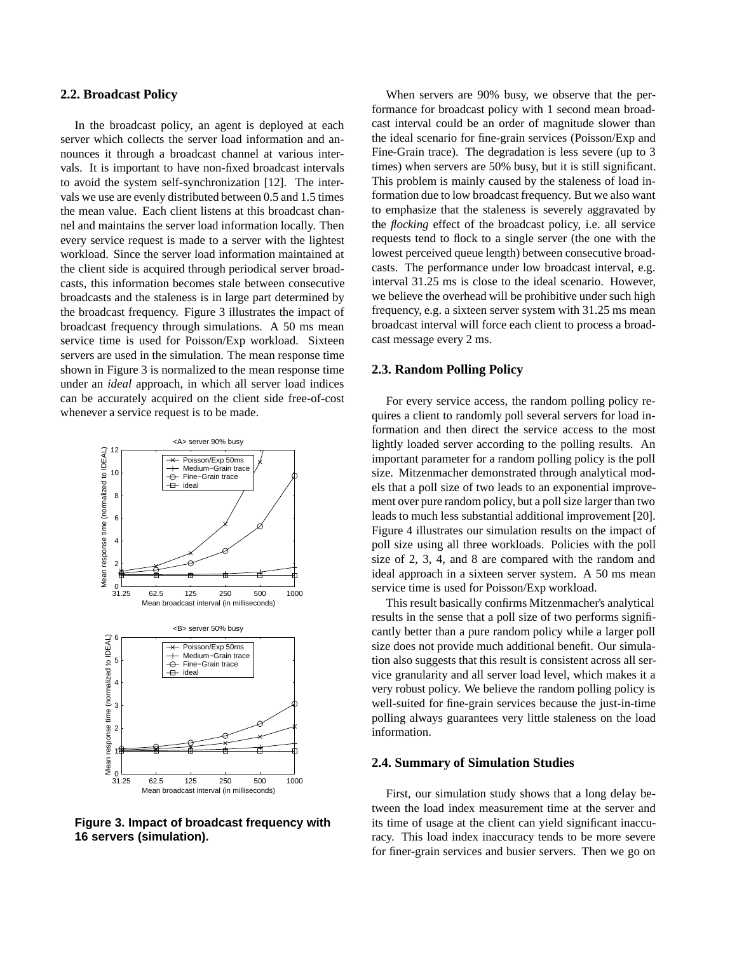#### **2.2. Broadcast Policy**

In the broadcast policy, an agent is deployed at each server which collects the server load information and announces it through a broadcast channel at various intervals. It is important to have non-fixed broadcast intervals to avoid the system self-synchronization [12]. The intervals we use are evenly distributed between 0.5 and 1.5 times the mean value. Each client listens at this broadcast channel and maintains the server load information locally. Then every service request is made to a server with the lightest workload. Since the server load information maintained at the client side is acquired through periodical server broadcasts, this information becomes stale between consecutive broadcasts and the staleness is in large part determined by the broadcast frequency. Figure 3 illustrates the impact of broadcast frequency through simulations. A 50 ms mean service time is used for Poisson/Exp workload. Sixteen servers are used in the simulation. The mean response time shown in Figure 3 is normalized to the mean response time under an *ideal* approach, in which all server load indices can be accurately acquired on the client side free-of-cost whenever a service request is to be made.



**Figure 3. Impact of broadcast frequency with 16 servers (simulation).**

When servers are 90% busy, we observe that the performance for broadcast policy with 1 second mean broadcast interval could be an order of magnitude slower than the ideal scenario for fine-grain services (Poisson/Exp and Fine-Grain trace). The degradation is less severe (up to 3 times) when servers are 50% busy, but it is still significant. This problem is mainly caused by the staleness of load information due to low broadcast frequency. But we also want to emphasize that the staleness is severely aggravated by the *flocking* effect of the broadcast policy, i.e. all service requests tend to flock to a single server (the one with the lowest perceived queue length) between consecutive broadcasts. The performance under low broadcast interval, e.g. interval 31.25 ms is close to the ideal scenario. However, we believe the overhead will be prohibitive under such high frequency, e.g. a sixteen server system with 31.25 ms mean broadcast interval will force each client to process a broadcast message every 2 ms.

#### **2.3. Random Polling Policy**

For every service access, the random polling policy requires a client to randomly poll several servers for load information and then direct the service access to the most lightly loaded server according to the polling results. An important parameter for a random polling policy is the poll size. Mitzenmacher demonstrated through analytical models that a poll size of two leads to an exponential improvement over pure random policy, but a poll size larger than two leads to much less substantial additional improvement [20]. Figure 4 illustrates our simulation results on the impact of poll size using all three workloads. Policies with the poll size of 2, 3, 4, and 8 are compared with the random and ideal approach in a sixteen server system. A 50 ms mean service time is used for Poisson/Exp workload.

This result basically confirms Mitzenmacher's analytical results in the sense that a poll size of two performs significantly better than a pure random policy while a larger poll size does not provide much additional benefit. Our simulation also suggests that this result is consistent across all service granularity and all server load level, which makes it a very robust policy. We believe the random polling policy is well-suited for fine-grain services because the just-in-time polling always guarantees very little staleness on the load information.

#### **2.4. Summary of Simulation Studies**

First, our simulation study shows that a long delay between the load index measurement time at the server and its time of usage at the client can yield significant inaccuracy. This load index inaccuracy tends to be more severe for finer-grain services and busier servers. Then we go on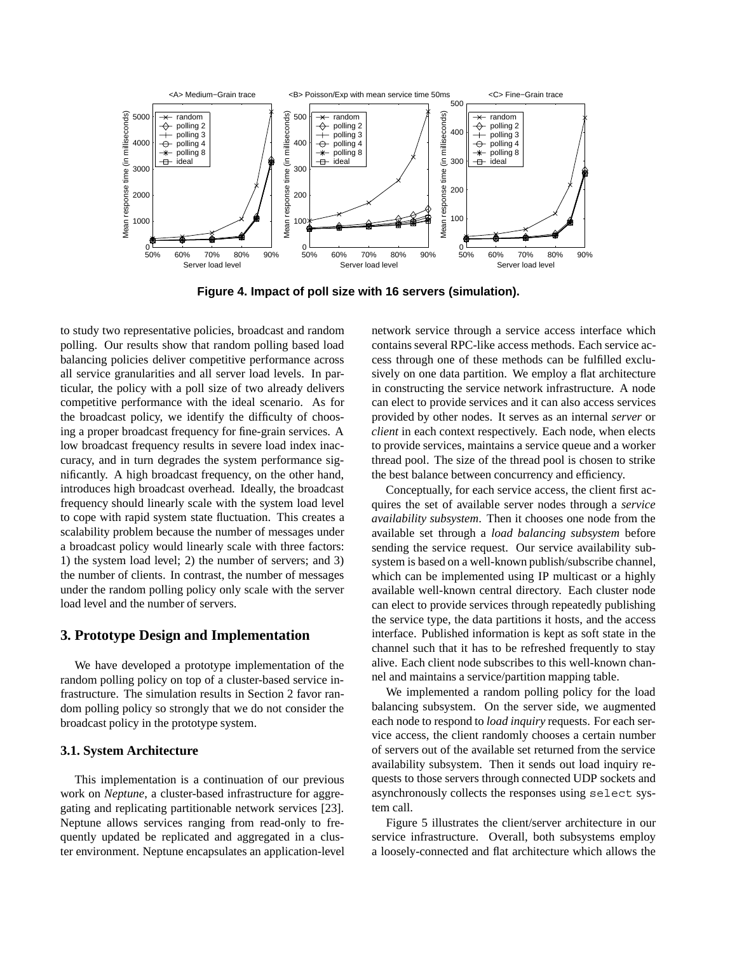

**Figure 4. Impact of poll size with 16 servers (simulation).**

to study two representative policies, broadcast and random polling. Our results show that random polling based load balancing policies deliver competitive performance across all service granularities and all server load levels. In particular, the policy with a poll size of two already delivers competitive performance with the ideal scenario. As for the broadcast policy, we identify the difficulty of choosing a proper broadcast frequency for fine-grain services. A low broadcast frequency results in severe load index inaccuracy, and in turn degrades the system performance significantly. A high broadcast frequency, on the other hand, introduces high broadcast overhead. Ideally, the broadcast frequency should linearly scale with the system load level to cope with rapid system state fluctuation. This creates a scalability problem because the number of messages under a broadcast policy would linearly scale with three factors: 1) the system load level; 2) the number of servers; and 3) the number of clients. In contrast, the number of messages under the random polling policy only scale with the server load level and the number of servers.

## **3. Prototype Design and Implementation**

We have developed a prototype implementation of the random polling policy on top of a cluster-based service infrastructure. The simulation results in Section 2 favor random polling policy so strongly that we do not consider the broadcast policy in the prototype system.

#### **3.1. System Architecture**

This implementation is a continuation of our previous work on *Neptune*, a cluster-based infrastructure for aggregating and replicating partitionable network services [23]. Neptune allows services ranging from read-only to frequently updated be replicated and aggregated in a cluster environment. Neptune encapsulates an application-level network service through a service access interface which contains several RPC-like access methods. Each service access through one of these methods can be fulfilled exclusively on one data partition. We employ a flat architecture in constructing the service network infrastructure. A node can elect to provide services and it can also access services provided by other nodes. It serves as an internal *server* or *client* in each context respectively. Each node, when elects to provide services, maintains a service queue and a worker thread pool. The size of the thread pool is chosen to strike the best balance between concurrency and efficiency.

Conceptually, for each service access, the client first acquires the set of available server nodes through a *service availability subsystem*. Then it chooses one node from the available set through a *load balancing subsystem* before sending the service request. Our service availability subsystem is based on a well-known publish/subscribe channel, which can be implemented using IP multicast or a highly available well-known central directory. Each cluster node can elect to provide services through repeatedly publishing the service type, the data partitions it hosts, and the access interface. Published information is kept as soft state in the channel such that it has to be refreshed frequently to stay alive. Each client node subscribes to this well-known channel and maintains a service/partition mapping table.

We implemented a random polling policy for the load balancing subsystem. On the server side, we augmented each node to respond to *load inquiry* requests. For each service access, the client randomly chooses a certain number of servers out of the available set returned from the service availability subsystem. Then it sends out load inquiry requests to those servers through connected UDP sockets and asynchronously collects the responses using select system call.

Figure 5 illustrates the client/server architecture in our service infrastructure. Overall, both subsystems employ a loosely-connected and flat architecture which allows the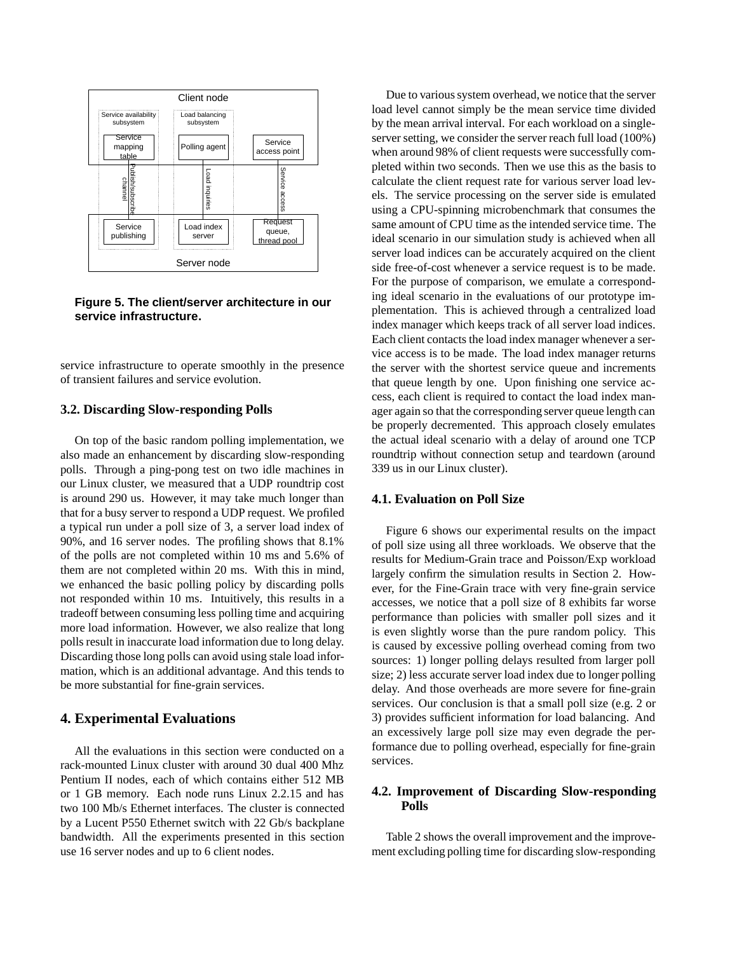

**Figure 5. The client/server architecture in our service infrastructure.**

service infrastructure to operate smoothly in the presence of transient failures and service evolution.

# **3.2. Discarding Slow-responding Polls**

On top of the basic random polling implementation, we also made an enhancement by discarding slow-responding polls. Through a ping-pong test on two idle machines in our Linux cluster, we measured that a UDP roundtrip cost is around 290 us. However, it may take much longer than that for a busy server to respond a UDP request. We profiled a typical run under a poll size of 3, a server load index of 90%, and 16 server nodes. The profiling shows that 8.1% of the polls are not completed within 10 ms and 5.6% of them are not completed within 20 ms. With this in mind, we enhanced the basic polling policy by discarding polls not responded within 10 ms. Intuitively, this results in a tradeoff between consuming less polling time and acquiring more load information. However, we also realize that long polls result in inaccurate load information due to long delay. Discarding those long polls can avoid using stale load information, which is an additional advantage. And this tends to be more substantial for fine-grain services.

# **4. Experimental Evaluations**

All the evaluations in this section were conducted on a rack-mounted Linux cluster with around 30 dual 400 Mhz Pentium II nodes, each of which contains either 512 MB or 1 GB memory. Each node runs Linux 2.2.15 and has two 100 Mb/s Ethernet interfaces. The cluster is connected by a Lucent P550 Ethernet switch with 22 Gb/s backplane bandwidth. All the experiments presented in this section use 16 server nodes and up to 6 client nodes.

Due to various system overhead, we notice that the server load level cannot simply be the mean service time divided by the mean arrival interval. For each workload on a singleserver setting, we consider the server reach full load (100%) when around 98% of client requests were successfully completed within two seconds. Then we use this as the basis to calculate the client request rate for various server load levels. The service processing on the server side is emulated using a CPU-spinning microbenchmark that consumes the same amount of CPU time as the intended service time. The ideal scenario in our simulation study is achieved when all server load indices can be accurately acquired on the client side free-of-cost whenever a service request is to be made. For the purpose of comparison, we emulate a corresponding ideal scenario in the evaluations of our prototype implementation. This is achieved through a centralized load index manager which keeps track of all server load indices. Each client contacts the load index manager whenever a service access is to be made. The load index manager returns the server with the shortest service queue and increments that queue length by one. Upon finishing one service access, each client is required to contact the load index manager again so that the corresponding server queue length can be properly decremented. This approach closely emulates the actual ideal scenario with a delay of around one TCP roundtrip without connection setup and teardown (around 339 us in our Linux cluster).

## **4.1. Evaluation on Poll Size**

Figure 6 shows our experimental results on the impact of poll size using all three workloads. We observe that the results for Medium-Grain trace and Poisson/Exp workload largely confirm the simulation results in Section 2. However, for the Fine-Grain trace with very fine-grain service accesses, we notice that a poll size of 8 exhibits far worse performance than policies with smaller poll sizes and it is even slightly worse than the pure random policy. This is caused by excessive polling overhead coming from two sources: 1) longer polling delays resulted from larger poll size; 2) less accurate server load index due to longer polling delay. And those overheads are more severe for fine-grain services. Our conclusion is that a small poll size (e.g. 2 or 3) provides sufficient information for load balancing. And an excessively large poll size may even degrade the performance due to polling overhead, especially for fine-grain services.

## **4.2. Improvement of Discarding Slow-responding Polls**

Table 2 shows the overall improvement and the improvement excluding polling time for discarding slow-responding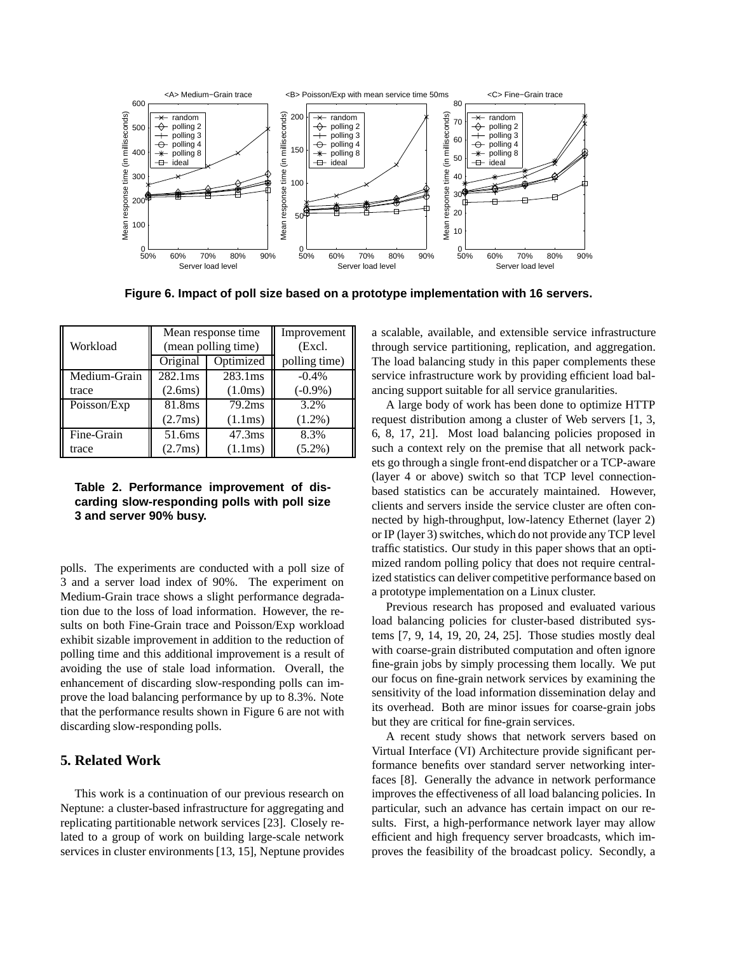

**Figure 6. Impact of poll size based on a prototype implementation with 16 servers.**

|              |                     | Mean response time  | Improvement   |  |
|--------------|---------------------|---------------------|---------------|--|
| Workload     | (mean polling time) |                     | (Excl.        |  |
|              | Original            | Optimized           | polling time) |  |
| Medium-Grain | 282.1 <sub>ms</sub> | 283.1 <sub>ms</sub> | $-0.4%$       |  |
| trace        | (2.6ms)             | (1.0ms)             | $(-0.9\%)$    |  |
| Poisson/Exp  | 81.8ms              | 79.2ms              | 3.2%          |  |
|              | (2.7ms)             | (1.1ms)             | $(1.2\%)$     |  |
| Fine-Grain   | 51.6ms              | 47.3 <sub>ms</sub>  | 8.3%          |  |
| trace        | (2.7ms)             | (1.1ms)             | $(5.2\%)$     |  |

## **Table 2. Performance improvement of discarding slow-responding polls with poll size 3 and server 90% busy.**

polls. The experiments are conducted with a poll size of 3 and a server load index of 90%. The experiment on Medium-Grain trace shows a slight performance degradation due to the loss of load information. However, the results on both Fine-Grain trace and Poisson/Exp workload exhibit sizable improvement in addition to the reduction of polling time and this additional improvement is a result of avoiding the use of stale load information. Overall, the enhancement of discarding slow-responding polls can improve the load balancing performance by up to 8.3%. Note that the performance results shown in Figure 6 are not with discarding slow-responding polls.

# **5. Related Work**

This work is a continuation of our previous research on Neptune: a cluster-based infrastructure for aggregating and replicating partitionable network services [23]. Closely related to a group of work on building large-scale network services in cluster environments [13, 15], Neptune provides a scalable, available, and extensible service infrastructure through service partitioning, replication, and aggregation. The load balancing study in this paper complements these service infrastructure work by providing efficient load balancing support suitable for all service granularities.

A large body of work has been done to optimize HTTP request distribution among a cluster of Web servers [1, 3, 6, 8, 17, 21]. Most load balancing policies proposed in such a context rely on the premise that all network packets go through a single front-end dispatcher or a TCP-aware (layer 4 or above) switch so that TCP level connectionbased statistics can be accurately maintained. However, clients and servers inside the service cluster are often connected by high-throughput, low-latency Ethernet (layer 2) or IP (layer 3) switches, which do not provide any TCP level traffic statistics. Our study in this paper shows that an optimized random polling policy that does not require centralized statistics can deliver competitive performance based on a prototype implementation on a Linux cluster.

Previous research has proposed and evaluated various load balancing policies for cluster-based distributed systems [7, 9, 14, 19, 20, 24, 25]. Those studies mostly deal with coarse-grain distributed computation and often ignore fine-grain jobs by simply processing them locally. We put our focus on fine-grain network services by examining the sensitivity of the load information dissemination delay and its overhead. Both are minor issues for coarse-grain jobs but they are critical for fine-grain services.

A recent study shows that network servers based on Virtual Interface (VI) Architecture provide significant performance benefits over standard server networking interfaces [8]. Generally the advance in network performance improves the effectiveness of all load balancing policies. In particular, such an advance has certain impact on our results. First, a high-performance network layer may allow efficient and high frequency server broadcasts, which improves the feasibility of the broadcast policy. Secondly, a